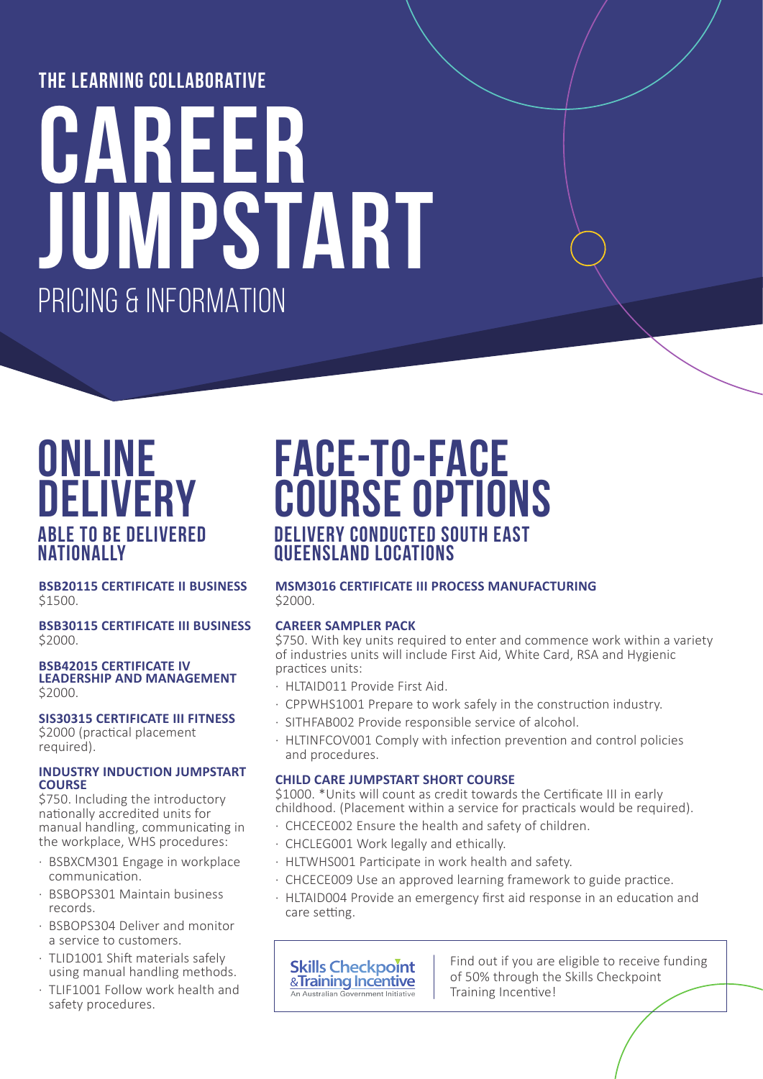### **the learning collaborative**

# **career jumpstart** pricing & information

## **online delivery able to be delivered nationally**

**BSB20115 CERTIFICATE II BUSINESS**  \$1500.

**BSB30115 CERTIFICATE III BUSINESS** \$2000.

### **BSB42015 CERTIFICATE IV LEADERSHIP AND MANAGEMENT**  \$2000.

#### **SIS30315 CERTIFICATE III FITNESS** \$2000 (practical placement required).

### **INDUSTRY INDUCTION JUMPSTART COURSE**

\$750. Including the introductory nationally accredited units for manual handling, communicating in the workplace, WHS procedures:

- BSBXCM301 Engage in workplace communication.
- · BSBOPS301 Maintain business records.
- · BSBOPS304 Deliver and monitor a service to customers.
- · TLID1001 Shift materials safely using manual handling methods.
- · TLIF1001 Follow work health and safety procedures.

## **face-to-face course options delivery conducted south east queensland locations**

### **MSM3016 CERTIFICATE III PROCESS MANUFACTURING** \$2000.

### **CAREER SAMPLER PACK**

\$750. With key units required to enter and commence work within a variety of industries units will include First Aid, White Card, RSA and Hygienic practices units:

- · HLTAID011 Provide First Aid.
- · CPPWHS1001 Prepare to work safely in the construction industry.
- · SITHFAB002 Provide responsible service of alcohol.
- · HLTINFCOV001 Comply with infection prevention and control policies and procedures.

### **CHILD CARE JUMPSTART SHORT COURSE**

\$1000. \*Units will count as credit towards the Certificate III in early childhood. (Placement within a service for practicals would be required).

- · CHCECE002 Ensure the health and safety of children.
- · CHCLEG001 Work legally and ethically.
- · HLTWHS001 Participate in work health and safety.
- · CHCECE009 Use an approved learning framework to guide practice.
- · HLTAID004 Provide an emergency first aid response in an education and care setting.



Find out if you are eligible to receive funding of 50% through the Skills Checkpoint Training Incentive!